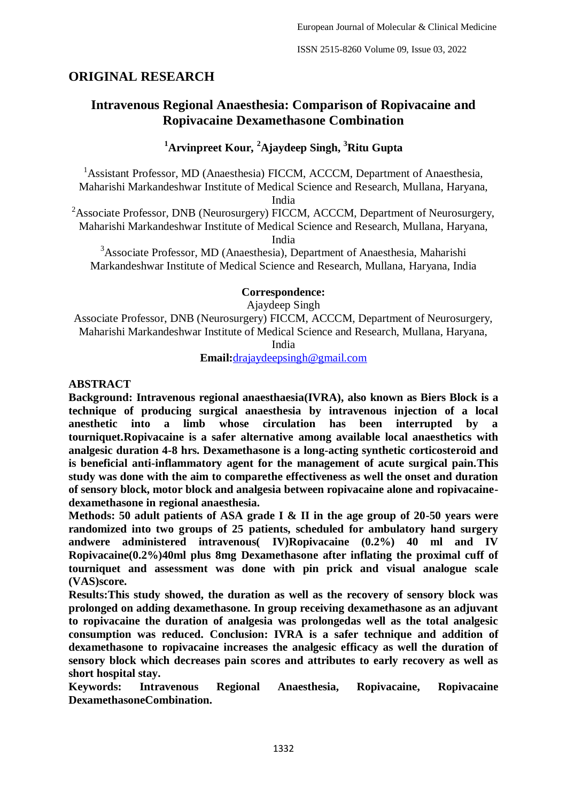## **ORIGINAL RESEARCH**

# **Intravenous Regional Anaesthesia: Comparison of Ropivacaine and Ropivacaine Dexamethasone Combination**

## **<sup>1</sup>Arvinpreet Kour, <sup>2</sup>Ajaydeep Singh, <sup>3</sup>Ritu Gupta**

<sup>1</sup>Assistant Professor, MD (Anaesthesia) FICCM, ACCCM, Department of Anaesthesia, Maharishi Markandeshwar Institute of Medical Science and Research, Mullana, Haryana,

India

<sup>2</sup>Associate Professor, DNB (Neurosurgery) FICCM, ACCCM, Department of Neurosurgery, Maharishi Markandeshwar Institute of Medical Science and Research, Mullana, Haryana,

India

<sup>3</sup>Associate Professor, MD (Anaesthesia), Department of Anaesthesia, Maharishi Markandeshwar Institute of Medical Science and Research, Mullana, Haryana, India

## **Correspondence:**

Ajaydeep Singh

Associate Professor, DNB (Neurosurgery) FICCM, ACCCM, Department of Neurosurgery, Maharishi Markandeshwar Institute of Medical Science and Research, Mullana, Haryana,

India

**Email:**drajaydeepsingh@gmail.com

### **ABSTRACT**

**Background: Intravenous regional anaesthaesia(IVRA), also known as Biers Block is a technique of producing surgical anaesthesia by intravenous injection of a local anesthetic into a limb whose circulation has been interrupted by a tourniquet.Ropivacaine is a safer alternative among available local anaesthetics with analgesic duration 4-8 hrs. Dexamethasone is a long-acting synthetic corticosteroid and is beneficial anti-inflammatory agent for the management of acute surgical pain.This study was done with the aim to comparethe effectiveness as well the onset and duration of sensory block, motor block and analgesia between ropivacaine alone and ropivacainedexamethasone in regional anaesthesia.**

**Methods: 50 adult patients of ASA grade I & II in the age group of 20-50 years were randomized into two groups of 25 patients, scheduled for ambulatory hand surgery andwere administered intravenous( IV)Ropivacaine (0.2%) 40 ml and IV Ropivacaine(0.2%)40ml plus 8mg Dexamethasone after inflating the proximal cuff of tourniquet and assessment was done with pin prick and visual analogue scale (VAS)score.**

**Results:This study showed, the duration as well as the recovery of sensory block was prolonged on adding dexamethasone. In group receiving dexamethasone as an adjuvant to ropivacaine the duration of analgesia was prolongedas well as the total analgesic consumption was reduced. Conclusion: IVRA is a safer technique and addition of dexamethasone to ropivacaine increases the analgesic efficacy as well the duration of sensory block which decreases pain scores and attributes to early recovery as well as short hospital stay.**

**Keywords: Intravenous Regional Anaesthesia, Ropivacaine, Ropivacaine DexamethasoneCombination.**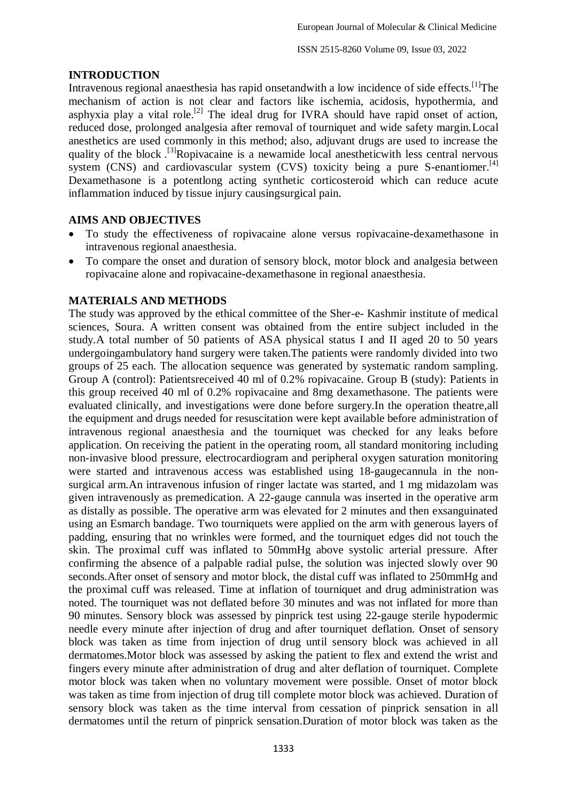## **INTRODUCTION**

Intravenous regional anaesthesia has rapid onsetandwith a low incidence of side effects.<sup>[1]</sup>The mechanism of action is not clear and factors like ischemia, acidosis, hypothermia, and asphyxia play a vital role.<sup>[2]</sup> The ideal drug for IVRA should have rapid onset of action, reduced dose, prolonged analgesia after removal of tourniquet and wide safety margin.Local anesthetics are used commonly in this method; also, adjuvant drugs are used to increase the quality of the block .<sup>[3]</sup>Ropivacaine is a newamide local anestheticwith less central nervous system (CNS) and cardiovascular system (CVS) toxicity being a pure S-enantiomer.<sup>[4]</sup> Dexamethasone is a potentlong acting synthetic corticosteroid which can reduce acute inflammation induced by tissue injury causingsurgical pain.

## **AIMS AND OBJECTIVES**

- To study the effectiveness of ropivacaine alone versus ropivacaine-dexamethasone in intravenous regional anaesthesia.
- To compare the onset and duration of sensory block, motor block and analgesia between ropivacaine alone and ropivacaine-dexamethasone in regional anaesthesia.

### **MATERIALS AND METHODS**

The study was approved by the ethical committee of the Sher-e- Kashmir institute of medical sciences, Soura. A written consent was obtained from the entire subject included in the study.A total number of 50 patients of ASA physical status I and II aged 20 to 50 years undergoingambulatory hand surgery were taken.The patients were randomly divided into two groups of 25 each. The allocation sequence was generated by systematic random sampling. Group A (control): Patientsreceived 40 ml of 0.2% ropivacaine. Group B (study): Patients in this group received 40 ml of 0.2% ropivacaine and 8mg dexamethasone. The patients were evaluated clinically, and investigations were done before surgery.In the operation theatre,all the equipment and drugs needed for resuscitation were kept available before administration of intravenous regional anaesthesia and the tourniquet was checked for any leaks before application. On receiving the patient in the operating room, all standard monitoring including non-invasive blood pressure, electrocardiogram and peripheral oxygen saturation monitoring were started and intravenous access was established using 18-gaugecannula in the nonsurgical arm.An intravenous infusion of ringer lactate was started, and 1 mg midazolam was given intravenously as premedication. A 22-gauge cannula was inserted in the operative arm as distally as possible. The operative arm was elevated for 2 minutes and then exsanguinated using an Esmarch bandage. Two tourniquets were applied on the arm with generous layers of padding, ensuring that no wrinkles were formed, and the tourniquet edges did not touch the skin. The proximal cuff was inflated to 50mmHg above systolic arterial pressure. After confirming the absence of a palpable radial pulse, the solution was injected slowly over 90 seconds.After onset of sensory and motor block, the distal cuff was inflated to 250mmHg and the proximal cuff was released. Time at inflation of tourniquet and drug administration was noted. The tourniquet was not deflated before 30 minutes and was not inflated for more than 90 minutes. Sensory block was assessed by pinprick test using 22-gauge sterile hypodermic needle every minute after injection of drug and after tourniquet deflation. Onset of sensory block was taken as time from injection of drug until sensory block was achieved in all dermatomes.Motor block was assessed by asking the patient to flex and extend the wrist and fingers every minute after administration of drug and alter deflation of tourniquet. Complete motor block was taken when no voluntary movement were possible. Onset of motor block was taken as time from injection of drug till complete motor block was achieved. Duration of sensory block was taken as the time interval from cessation of pinprick sensation in all dermatomes until the return of pinprick sensation.Duration of motor block was taken as the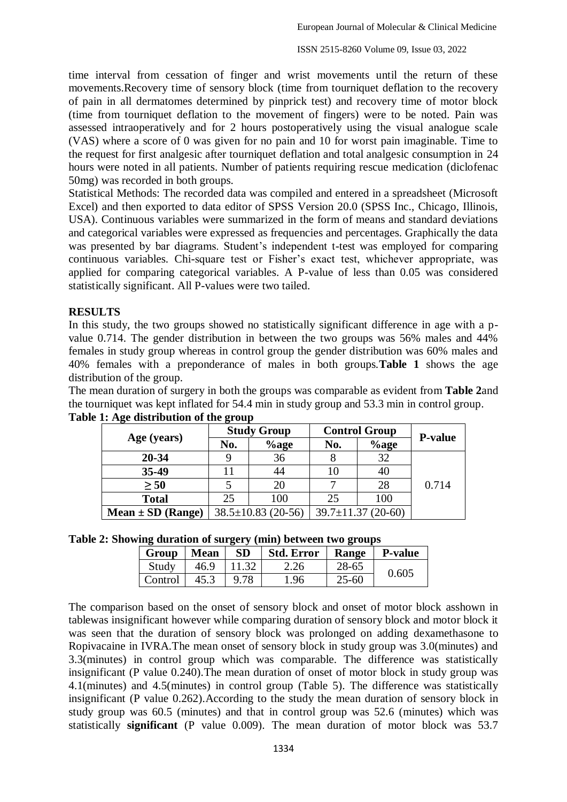time interval from cessation of finger and wrist movements until the return of these movements.Recovery time of sensory block (time from tourniquet deflation to the recovery of pain in all dermatomes determined by pinprick test) and recovery time of motor block (time from tourniquet deflation to the movement of fingers) were to be noted. Pain was assessed intraoperatively and for 2 hours postoperatively using the visual analogue scale (VAS) where a score of 0 was given for no pain and 10 for worst pain imaginable. Time to the request for first analgesic after tourniquet deflation and total analgesic consumption in 24 hours were noted in all patients. Number of patients requiring rescue medication (diclofenac 50mg) was recorded in both groups.

Statistical Methods: The recorded data was compiled and entered in a spreadsheet (Microsoft Excel) and then exported to data editor of SPSS Version 20.0 (SPSS Inc., Chicago, Illinois, USA). Continuous variables were summarized in the form of means and standard deviations and categorical variables were expressed as frequencies and percentages. Graphically the data was presented by bar diagrams. Student's independent t-test was employed for comparing continuous variables. Chi-square test or Fisher's exact test, whichever appropriate, was applied for comparing categorical variables. A P-value of less than 0.05 was considered statistically significant. All P-values were two tailed.

### **RESULTS**

In this study, the two groups showed no statistically significant difference in age with a pvalue 0.714. The gender distribution in between the two groups was 56% males and 44% females in study group whereas in control group the gender distribution was 60% males and 40% females with a preponderance of males in both groups.**Table 1** shows the age distribution of the group.

The mean duration of surgery in both the groups was comparable as evident from **Table 2**and the tourniquet was kept inflated for 54.4 min in study group and 53.3 min in control group.

| ີ<br>Age (years)      | <b>Study Group</b>       |          | <b>Control Group</b>     |         |                |
|-----------------------|--------------------------|----------|--------------------------|---------|----------------|
|                       | No.                      | $\%$ age | No.                      | $%$ age | <b>P-value</b> |
| 20-34                 |                          | 36       |                          | 32      |                |
| 35-49                 | 11                       | 44       | 10                       | 40      |                |
| $\geq 50$             |                          | 20       |                          | 28      | 0.714          |
| <b>Total</b>          | 25                       | 100      | 25                       | 100     |                |
| $Mean \pm SD$ (Range) | $38.5 \pm 10.83$ (20-56) |          | $39.7 \pm 11.37$ (20-60) |         |                |

|  | Table 1: Age distribution of the group |  |  |
|--|----------------------------------------|--|--|
|  |                                        |  |  |

| Table 2: Showing duration of surgery (min) between two groups |  |  |  |
|---------------------------------------------------------------|--|--|--|
|                                                               |  |  |  |

| Group   | <b>Mean</b> | <b>SD</b> | <b>Std. Error</b> | <b>Range</b> | <b>P-value</b> |
|---------|-------------|-----------|-------------------|--------------|----------------|
| Study   | 46.9        | 11.32     | 2.26              | 28-65        | 0.605          |
| Control | 45.3        | 9.78      | . 96              | $25 - 60$    |                |

The comparison based on the onset of sensory block and onset of motor block asshown in tablewas insignificant however while comparing duration of sensory block and motor block it was seen that the duration of sensory block was prolonged on adding dexamethasone to Ropivacaine in IVRA.The mean onset of sensory block in study group was 3.0(minutes) and 3.3(minutes) in control group which was comparable. The difference was statistically insignificant (P value 0.240).The mean duration of onset of motor block in study group was 4.1(minutes) and 4.5(minutes) in control group (Table 5). The difference was statistically insignificant (P value 0.262).According to the study the mean duration of sensory block in study group was 60.5 (minutes) and that in control group was 52.6 (minutes) which was statistically **significant** (P value 0.009). The mean duration of motor block was 53.7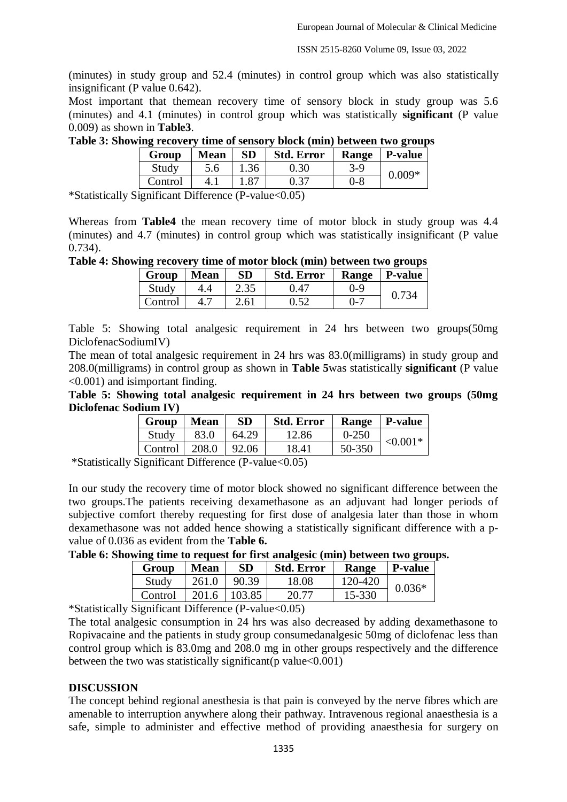ISSN 2515-8260 Volume 09, Issue 03, 2022

(minutes) in study group and 52.4 (minutes) in control group which was also statistically insignificant (P value 0.642).

Most important that themean recovery time of sensory block in study group was 5.6 (minutes) and 4.1 (minutes) in control group which was statistically **significant** (P value 0.009) as shown in **Table3**.

**Table 3: Showing recovery time of sensory block (min) between two groups**

| -       |                                                    |           |                   |         | $\overline{\phantom{0}}$ |  |  |  |
|---------|----------------------------------------------------|-----------|-------------------|---------|--------------------------|--|--|--|
| Group   | <b>Mean</b>                                        | <b>SD</b> | <b>Std. Error</b> | Range   | <b>P-value</b>           |  |  |  |
| Study   |                                                    |           | ).30              | 3-9     | $0.009*$                 |  |  |  |
| Control |                                                    |           |                   | $0 - 8$ |                          |  |  |  |
| $\sim$  | $ -$<br>$-1$<br>$\sim$ $\sim$ $\sim$ $\sim$ $\sim$ |           |                   |         |                          |  |  |  |

\*Statistically Significant Difference (P-value<0.05)

Whereas from **Table4** the mean recovery time of motor block in study group was 4.4 (minutes) and 4.7 (minutes) in control group which was statistically insignificant (P value 0.734).

**Table 4: Showing recovery time of motor block (min) between two groups**

| $\overline{\phantom{a}}$ Group | <b>Mean</b> | <b>SD</b> | <b>Std. Error</b> | <b>Range</b> | <b>P</b> -value |
|--------------------------------|-------------|-----------|-------------------|--------------|-----------------|
| Study                          |             | 2.35      | 0.47              | $0 - 9$      | 0.734           |
| Control                        |             | 2.61      | 0.52              | $0 - 7$      |                 |

Table 5: Showing total analgesic requirement in 24 hrs between two groups(50mg DiclofenacSodiumIV)

The mean of total analgesic requirement in 24 hrs was 83.0(milligrams) in study group and 208.0(milligrams) in control group as shown in **Table 5**was statistically **significant** (P value <0.001) and isimportant finding.

**Table 5: Showing total analgesic requirement in 24 hrs between two groups (50mg Diclofenac Sodium IV)**

| Group   Mean                                |      | <b>SD</b> | <b>Std. Error</b> |           | Range   P-value |
|---------------------------------------------|------|-----------|-------------------|-----------|-----------------|
| Study                                       | 83.0 | 64.29     | 12.86             | $0 - 250$ | $< 0.001*$      |
| $\vert$ Control $\vert$ 208.0 $\vert$ 92.06 |      |           | 18.41             | 50-350    |                 |

\*Statistically Significant Difference (P-value<0.05)

In our study the recovery time of motor block showed no significant difference between the two groups.The patients receiving dexamethasone as an adjuvant had longer periods of subjective comfort thereby requesting for first dose of analgesia later than those in whom dexamethasone was not added hence showing a statistically significant difference with a pvalue of 0.036 as evident from the **Table 6.**

**Table 6: Showing time to request for first analgesic (min) between two groups.**

| 261.0<br>90.39<br>120-420<br>18.08<br>Study<br>$0.036*$ | Group   | <b>Mean</b> | <b>SD</b> | <b>Std. Error</b> | Range  | <b>P-value</b> |
|---------------------------------------------------------|---------|-------------|-----------|-------------------|--------|----------------|
|                                                         |         |             |           |                   |        |                |
|                                                         | Control | 201.6       | 103.85    | 70 77             | 15-330 |                |

\*Statistically Significant Difference (P-value<0.05)

The total analgesic consumption in 24 hrs was also decreased by adding dexamethasone to Ropivacaine and the patients in study group consumedanalgesic 50mg of diclofenac less than control group which is 83.0mg and 208.0 mg in other groups respectively and the difference between the two was statistically significant ( $p$  value < 0.001)

### **DISCUSSION**

The concept behind regional anesthesia is that pain is conveyed by the nerve fibres which are amenable to interruption anywhere along their pathway. Intravenous regional anaesthesia is a safe, simple to administer and effective method of providing anaesthesia for surgery on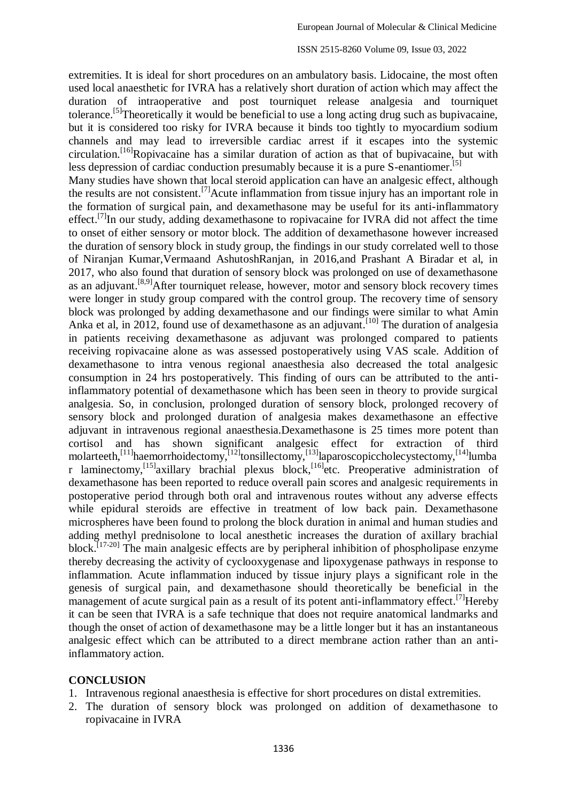extremities. It is ideal for short procedures on an ambulatory basis. Lidocaine, the most often used local anaesthetic for IVRA has a relatively short duration of action which may affect the duration of intraoperative and post tourniquet release analgesia and tourniquet tolerance.<sup>[5]</sup>Theoretically it would be beneficial to use a long acting drug such as bupivacaine, but it is considered too risky for IVRA because it binds too tightly to myocardium sodium channels and may lead to irreversible cardiac arrest if it escapes into the systemic circulation.<sup>[16]</sup>Ropivacaine has a similar duration of action as that of bupivacaine, but with less depression of cardiac conduction presumably because it is a pure S-enantiomer.<sup>[5]</sup> Many studies have shown that local steroid application can have an analgesic effect, although the results are not consistent.<sup>[7]</sup>Acute inflammation from tissue injury has an important role in the formation of surgical pain, and dexamethasone may be useful for its anti-inflammatory effect.<sup>[7]</sup>In our study, adding dexamethasone to ropivacaine for IVRA did not affect the time to onset of either sensory or motor block. The addition of dexamethasone however increased the duration of sensory block in study group, the findings in our study correlated well to those of Niranjan Kumar,Vermaand AshutoshRanjan, in 2016,and Prashant A Biradar et al, in 2017, who also found that duration of sensory block was prolonged on use of dexamethasone as an adjuvant.<sup>[8,9]</sup>After tourniquet release, however, motor and sensory block recovery times were longer in study group compared with the control group. The recovery time of sensory block was prolonged by adding dexamethasone and our findings were similar to what Amin Anka et al, in 2012, found use of dexamethasone as an adjuvant.<sup>[10]</sup> The duration of analgesia in patients receiving dexamethasone as adjuvant was prolonged compared to patients receiving ropivacaine alone as was assessed postoperatively using VAS scale. Addition of dexamethasone to intra venous regional anaesthesia also decreased the total analgesic consumption in 24 hrs postoperatively. This finding of ours can be attributed to the antiinflammatory potential of dexamethasone which has been seen in theory to provide surgical analgesia. So, in conclusion, prolonged duration of sensory block, prolonged recovery of sensory block and prolonged duration of analgesia makes dexamethasone an effective adjuvant in intravenous regional anaesthesia.Dexamethasone is 25 times more potent than cortisol and has shown significant analgesic effect for extraction of third molarteeth,<sup>[11]</sup>haemorrhoidectomy,<sup>[12]</sup>tonsillectomy,<sup>[13]</sup>laparoscopiccholecystectomy,<sup>[14]</sup>lumba r laminectomy,<sup>[15]</sup>axillary brachial plexus block,<sup>[16]</sup>etc. Preoperative administration of dexamethasone has been reported to reduce overall pain scores and analgesic requirements in postoperative period through both oral and intravenous routes without any adverse effects while epidural steroids are effective in treatment of low back pain. Dexamethasone microspheres have been found to prolong the block duration in animal and human studies and adding methyl prednisolone to local anesthetic increases the duration of axillary brachial block.<sup>[17-20]</sup> The main analgesic effects are by peripheral inhibition of phospholipase enzyme thereby decreasing the activity of cyclooxygenase and lipoxygenase pathways in response to inflammation. Acute inflammation induced by tissue injury plays a significant role in the genesis of surgical pain, and dexamethasone should theoretically be beneficial in the management of acute surgical pain as a result of its potent anti-inflammatory effect.<sup>[7]</sup>Hereby it can be seen that IVRA is a safe technique that does not require anatomical landmarks and though the onset of action of dexamethasone may be a little longer but it has an instantaneous analgesic effect which can be attributed to a direct membrane action rather than an antiinflammatory action.

#### **CONCLUSION**

- 1. Intravenous regional anaesthesia is effective for short procedures on distal extremities.
- 2. The duration of sensory block was prolonged on addition of dexamethasone to ropivacaine in IVRA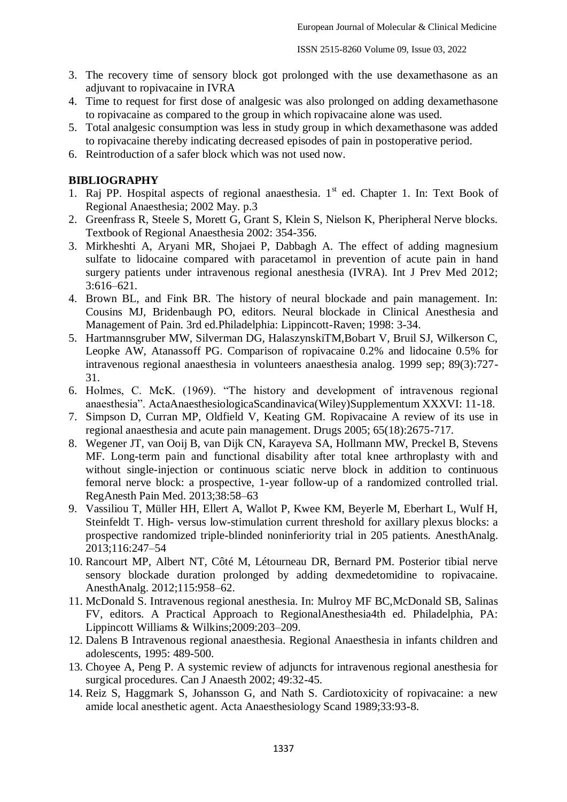- 3. The recovery time of sensory block got prolonged with the use dexamethasone as an adjuvant to ropivacaine in IVRA
- 4. Time to request for first dose of analgesic was also prolonged on adding dexamethasone to ropivacaine as compared to the group in which ropivacaine alone was used.
- 5. Total analgesic consumption was less in study group in which dexamethasone was added to ropivacaine thereby indicating decreased episodes of pain in postoperative period.
- 6. Reintroduction of a safer block which was not used now.

### **BIBLIOGRAPHY**

- 1. Raj PP. Hospital aspects of regional anaesthesia.  $1<sup>st</sup>$  ed. Chapter 1. In: Text Book of Regional Anaesthesia; 2002 May. p.3
- 2. Greenfrass R, Steele S, Morett G, Grant S, Klein S, Nielson K, Pheripheral Nerve blocks. Textbook of Regional Anaesthesia 2002: 354-356.
- 3. Mirkheshti A, Aryani MR, Shojaei P, Dabbagh A. The effect of adding magnesium sulfate to lidocaine compared with paracetamol in prevention of acute pain in hand surgery patients under intravenous regional anesthesia (IVRA). Int J Prev Med 2012; 3:616–621.
- 4. Brown BL, and Fink BR. The history of neural blockade and pain management. In: Cousins MJ, Bridenbaugh PO, editors. Neural blockade in Clinical Anesthesia and Management of Pain. 3rd ed.Philadelphia: Lippincott-Raven; 1998: 3-34.
- 5. Hartmannsgruber MW, Silverman DG, HalaszynskiTM,Bobart V, Bruil SJ, Wilkerson C, Leopke AW, Atanassoff PG. Comparison of ropivacaine 0.2% and lidocaine 0.5% for intravenous regional anaesthesia in volunteers anaesthesia analog. 1999 sep; 89(3):727- 31.
- 6. Holmes, C. McK. (1969). "The history and development of intravenous regional anaesthesia". ActaAnaesthesiologicaScandinavica(Wiley)Supplementum XXXVI: 11-18.
- 7. Simpson D, Curran MP, Oldfield V, Keating GM. Ropivacaine A review of its use in regional anaesthesia and acute pain management. Drugs 2005; 65(18):2675-717.
- 8. Wegener JT, van Ooij B, van Dijk CN, Karayeva SA, Hollmann MW, Preckel B, Stevens MF. Long-term pain and functional disability after total knee arthroplasty with and without single-injection or continuous sciatic nerve block in addition to continuous femoral nerve block: a prospective, 1-year follow-up of a randomized controlled trial. RegAnesth Pain Med. 2013;38:58–63
- 9. Vassiliou T, Müller HH, Ellert A, Wallot P, Kwee KM, Beyerle M, Eberhart L, Wulf H, Steinfeldt T. High- versus low-stimulation current threshold for axillary plexus blocks: a prospective randomized triple-blinded noninferiority trial in 205 patients. AnesthAnalg. 2013;116:247–54
- 10. Rancourt MP, Albert NT, Côté M, Létourneau DR, Bernard PM. Posterior tibial nerve sensory blockade duration prolonged by adding dexmedetomidine to ropivacaine. AnesthAnalg. 2012;115:958–62.
- 11. McDonald S. Intravenous regional anesthesia. In: Mulroy MF BC,McDonald SB, Salinas FV, editors. A Practical Approach to RegionalAnesthesia4th ed. Philadelphia, PA: Lippincott Williams & Wilkins;2009:203–209.
- 12. Dalens B Intravenous regional anaesthesia. Regional Anaesthesia in infants children and adolescents, 1995: 489-500.
- 13. Choyee A, Peng P. A systemic review of adjuncts for intravenous regional anesthesia for surgical procedures. Can J Anaesth 2002; 49:32-45.
- 14. Reiz S, Haggmark S, Johansson G, and Nath S. Cardiotoxicity of ropivacaine: a new amide local anesthetic agent. Acta Anaesthesiology Scand 1989;33:93-8.